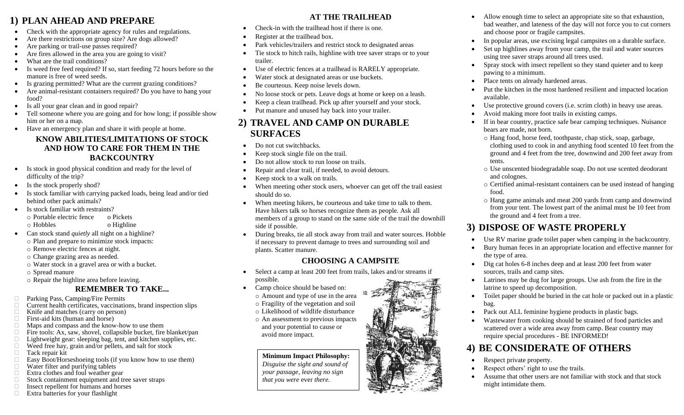### **1) PLAN AHEAD AND PREPARE**

- Check with the appropriate agency for rules and regulations.
- Are there restrictions on group size? Are dogs allowed?
- Are parking or trail-use passes required?
- Are fires allowed in the area you are going to visit?
- What are the trail conditions?
- Is weed free feed required? If so, start feeding 72 hours before so the manure is free of weed seeds.
- Is grazing permitted? What are the current grazing conditions?
- Are animal-resistant containers required? Do you have to hang your food?
- Is all your gear clean and in good repair?
- Tell someone where you are going and for how long; if possible show him or her on a map.
- Have an emergency plan and share it with people at home.

#### **KNOW ABILITIES/LIMITATIONS OF STOCK AND HOW TO CARE FOR THEM IN THE BACKCOUNTRY**

- Is stock in good physical condition and ready for the level of difficulty of the trip?
- Is the stock properly shod?
- Is stock familiar with carrying packed loads, being lead and/or tied behind other pack animals?
- Is stock familiar with restraints?
	- o Portable electric fence o Pickets
	- o Hobbles o Highline
- Can stock stand *quietly* all night on a highline?
	- o Plan and prepare to minimize stock impacts:
	- o Remove electric fences at night.
	- o Change grazing area as needed.
	- o Water stock in a gravel area or with a bucket.
	- o Spread manure
	- o Repair the highline area before leaving.

#### **REMEMBER TO TAKE...**

- □ Parking Pass, Camping/Fire Permits<br>□ Current health certificates, vaccinatio
- $\Box$  Current health certificates, vaccinations, brand inspection slips  $\Box$  Knife and matches (carry on person)
- $\Box$  Knife and matches (carry on person)<br>
First-aid kits (human and horse)
- $\Box$  First-aid kits (human and horse)<br> $\Box$  Maps and compass and the know
- $\Box$  Maps and compass and the know-how to use them  $\Box$  Fire tools: Ax, saw, shovel, collapsible bucket, fire
- Fire tools: Ax, saw, shovel, collapsible bucket, fire blanket/pan  $\Box$  Lightweight gear: sleeping bag, tent, and kitchen supplies, etc.
- Lightweight gear: sleeping bag, tent, and kitchen supplies, etc.  $\Box$  Weed free hay, grain and/or pellets, and salt for stock
- Weed free hay, grain and/or pellets, and salt for stock<br>  $\Box$  Tack repair kit
- $\Box$  Tack repair kit  $\Box$  Easy Boot/Hors
- Easy Boot/Horseshoeing tools (if you know how to use them)<br>Water filter and purifying tablets
- $\Box$  Water filter and purifying tablets  $\Box$  Extra clothes and foul weather ge
- $\Box$  Extra clothes and foul weather gear  $\Box$  Stock containment equipment and to
- $\Box$  Stock containment equipment and tree saver straps <br>  $\Box$  Insect repellent for humans and horses
- $\Box$  Insect repellent for humans and horses  $\Box$  Extra batteries for your flashlight
- Extra batteries for your flashlight

#### **AT THE TRAILHEAD**

- Check-in with the trailhead host if there is one.
- Register at the trailhead box.
- Park vehicles/trailers and restrict stock to designated areas
- Tie stock to hitch rails, highline with tree saver straps or to your trailer.
- Use of electric fences at a trailhead is RARELY appropriate.
- Water stock at designated areas or use buckets.
- Be courteous. Keep noise levels down.
- No loose stock or pets. Leave dogs at home or keep on a leash.
- Keep a clean trailhead. Pick up after yourself and your stock.
- Put manure and unused hay back into your trailer.

### **2) TRAVEL AND CAMP ON DURABLE SURFACES**

- Do not cut switchbacks.
- Keep stock single file on the trail.
- Do not allow stock to run loose on trails.
- Repair and clear trail, if needed, to avoid detours.
- Keep stock to a walk on trails.
- When meeting other stock users, whoever can get off the trail easiest should do so.
- When meeting hikers, be courteous and take time to talk to them. Have hikers talk so horses recognize them as people. Ask all members of a group to stand on the same side of the trail the downhill side if possible.
- During breaks, tie all stock away from trail and water sources. Hobble if necessary to prevent damage to trees and surrounding soil and plants. Scatter manure.

### **CHOOSING A CAMPSITE**

- Select a camp at least 200 feet from trails, lakes and/or streams if possible.
- Camp choice should be based on: o Amount and type of use in the area
	- o Fragility of the vegetation and soil
	- o Likelihood of wildlife disturbance
	- o An assessment to previous impacts and your potential to cause or avoid more impact.

**Minimum Impact Philosophy:** *Disguise the sight and sound of your passage, leaving no sign that you were* ever *there.*

- Allow enough time to select an appropriate site so that exhaustion, bad weather, and lateness of the day will not force you to cut corners and choose poor or fragile campsites.
- In popular areas, use excising legal campsites on a durable surface.
- Set up highlines away from your camp, the trail and water sources using tree saver straps around all trees used.
- Spray stock with insect repellent so they stand quieter and to keep pawing to a minimum.
- Place tents on already hardened areas.
- Put the kitchen in the most hardened resilient and impacted location available.
- Use protective ground covers (i.e. scrim cloth) in heavy use areas.
- Avoid making more foot trails in existing camps.
- If in bear country, practice safe bear camping techniques. Nuisance bears are made, not born.
	- o Hang food, horse feed, toothpaste, chap stick, soap, garbage, clothing used to cook in and anything food scented 10 feet from the ground and 4 feet from the tree, downwind and 200 feet away from tents.
	- o Use unscented biodegradable soap. Do not use scented deodorant and colognes.
	- o Certified animal-resistant containers can be used instead of hanging food.
	- o Hang game animals and meat 200 yards from camp and downwind from your tent. The lowest part of the animal must be 10 feet from the ground and 4 feet from a tree.

## **3) DISPOSE OF WASTE PROPERLY**

- Use RV marine grade toilet paper when camping in the backcountry.
- Bury human feces in an appropriate location and effective manner for the type of area.
- Dig cat holes 6-8 inches deep and at least 200 feet from water sources, trails and camp sites.
- Latrines may be dug for large groups. Use ash from the fire in the latrine to speed up decomposition.
- Toilet paper should be buried in the cat hole or packed out in a plastic bag.
- Pack out ALL feminine hygiene products in plastic bags.
- Wastewater from cooking should be strained of food particles and scattered over a wide area away from camp. Bear country may require special procedures - BE INFORMED!

## **4) BE CONSIDERATE OF OTHERS**

- Respect private property.
- Respect others' right to use the trails.
- Assume that other users are not familiar with stock and that stock might intimidate them.